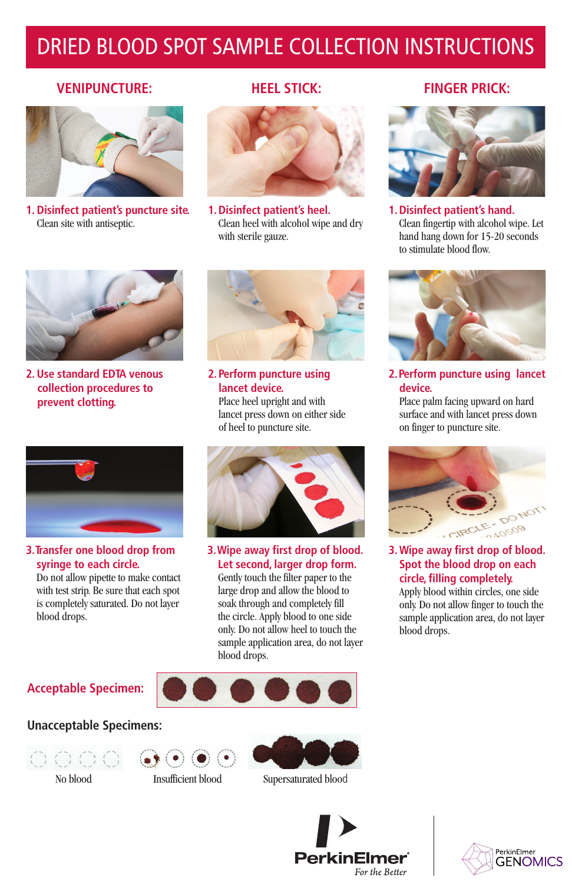# DRIED BLOOD SPOT SAMPLE COLLECTION INSTRUCTIONS

#### **VENIPUNCTURE: HEEL STICK: FINGER PRICK:**



**1. Disinfect patient's puncture site.** Clean site with antiseptic.



**1. Disinfect patient's heel.** Clean heel with alcohol wipe and dry with sterile gauze.



**1. Disinfect patient's hand.** Clean fingertip with alcohol wipe. Let hand hang down for 15-20 seconds to stimulate blood flow.

**2.Perform puncture using lancet** 

Place palm facing upward on hard surface and with lancet press down on finger to puncture site.

**3. Wipe away first drop of blood. Spot the blood drop on each circle, filling completely.** Apply blood within circles, one side only. Do not allow finger to touch the sample application area, do not layer

CIRCLE

DO NOT

 $20509$ 

**device.**

blood drops.



**2. Use standard EDTA venous collection procedures to prevent clotting.** 



**2. Perform puncture using lancet device.** Place heel upright and with lancet press down on either side of heel to puncture site.



**3.Transfer one blood drop from syringe to each circle.** Do not allow pipette to make contact with test strip. Be sure that each spot

is completely saturated. Do not layer blood drops.



**3.Wipe away first drop of blood. Let second, larger drop form.** Gently touch the filter paper to the large drop and allow the blood to soak through and completely fill the circle. Apply blood to one side only. Do not allow heel to touch the sample application area, do not layer blood drops.

## **Acceptable Specimen:**









No blood Insufficient blood Supersaturated blood